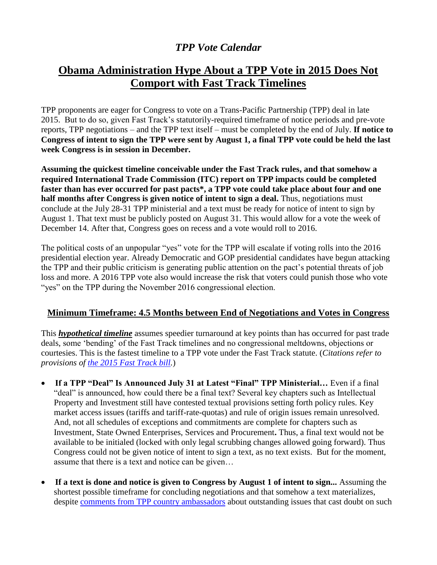## *TPP Vote Calendar*

## **Obama Administration Hype About a TPP Vote in 2015 Does Not Comport with Fast Track Timelines**

TPP proponents are eager for Congress to vote on a Trans-Pacific Partnership (TPP) deal in late 2015. But to do so, given Fast Track's statutorily-required timeframe of notice periods and pre-vote reports, TPP negotiations – and the TPP text itself – must be completed by the end of July. **If notice to Congress of intent to sign the TPP were sent by August 1, a final TPP vote could be held the last week Congress is in session in December.** 

**Assuming the quickest timeline conceivable under the Fast Track rules, and that somehow a required International Trade Commission (ITC) report on TPP impacts could be completed faster than has ever occurred for past pacts\*, a TPP vote could take place about four and one half months after Congress is given notice of intent to sign a deal.** Thus, negotiations must conclude at the July 28-31 TPP ministerial and a text must be ready for notice of intent to sign by August 1. That text must be publicly posted on August 31. This would allow for a vote the week of December 14. After that, Congress goes on recess and a vote would roll to 2016.

The political costs of an unpopular "yes" vote for the TPP will escalate if voting rolls into the 2016 presidential election year. Already Democratic and GOP presidential candidates have begun attacking the TPP and their public criticism is generating public attention on the pact's potential threats of job loss and more. A 2016 TPP vote also would increase the risk that voters could punish those who vote "yes" on the TPP during the November 2016 congressional election.

## **Minimum Timeframe: 4.5 Months between End of Negotiations and Votes in Congress**

This *hypothetical timeline* assumes speedier turnaround at key points than has occurred for past trade deals, some 'bending' of the Fast Track timelines and no congressional meltdowns, objections or courtesies. This is the fastest timeline to a TPP vote under the Fast Track statute. (*Citations refer to provisions of [the 2015 Fast Track bill.](https://www.congress.gov/bill/114th-congress/house-bill/2146/text?q=%7B%22search%22%3A%5B%22%5C%22hr2146%5C%22%22%5D%7D)*)

- **If a TPP "Deal" Is Announced July 31 at Latest "Final" TPP Ministerial…** Even if a final "deal" is announced, how could there be a final text? Several key chapters such as Intellectual Property and Investment still have contested textual provisions setting forth policy rules. Key market access issues (tariffs and tariff-rate-quotas) and rule of origin issues remain unresolved. And, not all schedules of exceptions and commitments are complete for chapters such as Investment, State Owned Enterprises, Services and Procurement**.** Thus, a final text would not be available to be initialed (locked with only legal scrubbing changes allowed going forward). Thus Congress could not be given notice of intent to sign a text, as no text exists. But for the moment, assume that there is a text and notice can be given…
- **If a text is done and notice is given to Congress by August 1 of intent to sign...** Assuming the shortest possible timeframe for concluding negotiations and that somehow a text materializes, despite [comments from TPP country ambassadors](http://insidetrade.com/daily-news/ambassadors-skeptical-quick-tpp-conclusion-after-tpa-passage) about outstanding issues that cast doubt on such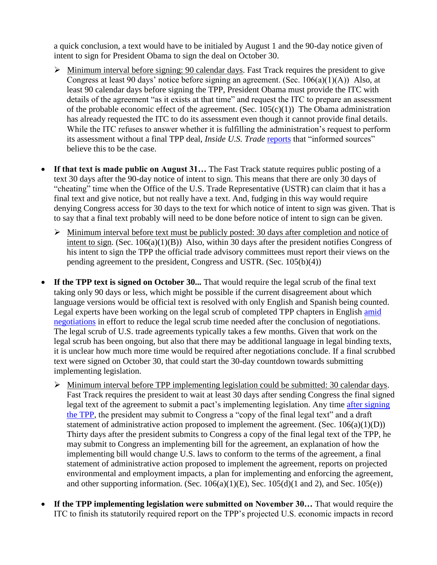a quick conclusion, a text would have to be initialed by August 1 and the 90-day notice given of intent to sign for President Obama to sign the deal on October 30.

- $\triangleright$  Minimum interval before signing: 90 calendar days. Fast Track requires the president to give Congress at least 90 days' notice before signing an agreement. (Sec.  $106(a)(1)(A)$ ) Also, at least 90 calendar days before signing the TPP, President Obama must provide the ITC with details of the agreement "as it exists at that time" and request the ITC to prepare an assessment of the probable economic effect of the agreement. (Sec.  $105(c)(1)$ ) The Obama administration has already requested the ITC to do its assessment even though it cannot provide final details. While the ITC refuses to answer whether it is fulfilling the administration's request to perform its assessment without a final TPP deal, *Inside U.S. Trade* [reports](http://insidetrade.com/inside-us-trade/itc-remain-silent-ngo-request-delay-tpp-analysis-until-final-deal) that "informed sources" believe this to be the case.
- **If that text is made public on August 31…** The Fast Track statute requires public posting of a text 30 days after the 90-day notice of intent to sign. This means that there are only 30 days of "cheating" time when the Office of the U.S. Trade Representative (USTR) can claim that it has a final text and give notice, but not really have a text. And, fudging in this way would require denying Congress access for 30 days to the text for which notice of intent to sign was given. That is to say that a final text probably will need to be done before notice of intent to sign can be given.
	- $\triangleright$  Minimum interval before text must be publicly posted: 30 days after completion and notice of intent to sign. (Sec. 106(a)(1)(B)) Also, within 30 days after the president notifies Congress of his intent to sign the TPP the official trade advisory committees must report their views on the pending agreement to the president, Congress and USTR. (Sec. 105(b)(4))
- If the TPP text is signed on October 30... That would require the legal scrub of the final text taking only 90 days or less, which might be possible if the current disagreement about which language versions would be official text is resolved with only English and Spanish being counted. Legal experts have been working on the legal scrub of completed TPP chapters in English [amid](http://insidetrade.com/inside-us-trade/mixed-expectations-progress-tpps-finale-appears-delayed-again)  [negotiations](http://insidetrade.com/inside-us-trade/mixed-expectations-progress-tpps-finale-appears-delayed-again) in effort to reduce the legal scrub time needed after the conclusion of negotiations. The legal scrub of U.S. trade agreements typically takes a few months. Given that work on the legal scrub has been ongoing, but also that there may be additional language in legal binding texts, it is unclear how much more time would be required after negotiations conclude. If a final scrubbed text were signed on October 30, that could start the 30-day countdown towards submitting implementing legislation.
	- $\triangleright$  Minimum interval before TPP implementing legislation could be submitted: 30 calendar days. Fast Track requires the president to wait at least 30 days after sending Congress the final signed legal text of the agreement to submit a pact's implementing legislation. Any time [after signing](http://www.finance.senate.gov/newsroom/chairman/release/?id=4ec9c2f4-22ae-4000-8b95-d37f8b34bb33)  [the TPP,](http://www.finance.senate.gov/newsroom/chairman/release/?id=4ec9c2f4-22ae-4000-8b95-d37f8b34bb33) the president may submit to Congress a "copy of the final legal text" and a draft statement of administrative action proposed to implement the agreement. (Sec.  $106(a)(1)(D)$ ) Thirty days after the president submits to Congress a copy of the final legal text of the TPP, he may submit to Congress an implementing bill for the agreement, an explanation of how the implementing bill would change U.S. laws to conform to the terms of the agreement, a final statement of administrative action proposed to implement the agreement, reports on projected environmental and employment impacts, a plan for implementing and enforcing the agreement, and other supporting information. (Sec.  $106(a)(1)(E)$ , Sec.  $105(d)(1)$  and 2), and Sec.  $105(e)$ )
- **If the TPP implementing legislation were submitted on November 30…** That would require the ITC to finish its statutorily required report on the TPP's projected U.S. economic impacts in record